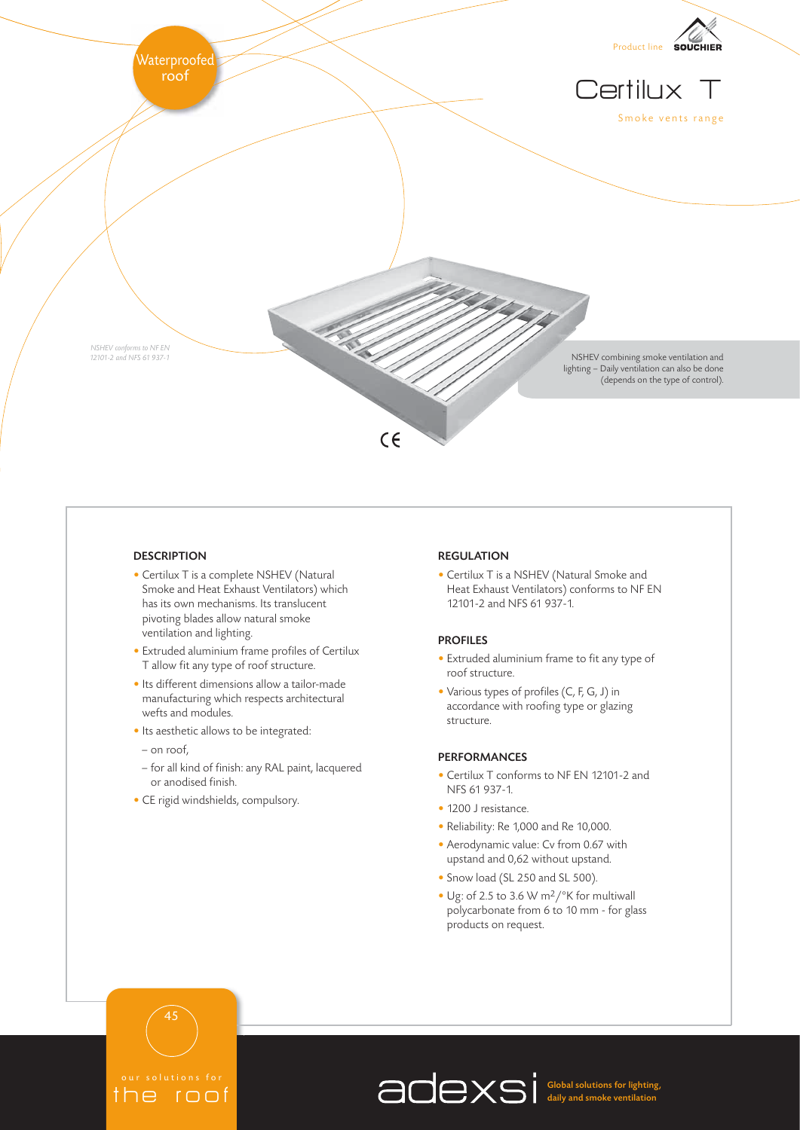

# **DESCRIPTION**

- Certilux T is a complete NSHEV (Natural Smoke and Heat Exhaust Ventilators) which has its own mechanisms. Its translucent pivoting blades allow natural smoke ventilation and lighting.
- Extruded aluminium frame profiles of Certilux T allow fit any type of roof structure.
- Its different dimensions allow a tailor-made manufacturing which respects architectural wefts and modules.
- Its aesthetic allows to be integrated:
- on roof,
- for all kind of finish: any RAL paint, lacquered or anodised finish.
- CE rigid windshields, compulsory.

## REGULATION

• Certilux T is a NSHEV (Natural Smoke and Heat Exhaust Ventilators) conforms to NF EN 12101-2 and NFS 61 937-1.

# PROFILES

- Extruded aluminium frame to fit any type of roof structure.
- Various types of profiles (C, F, G, J) in accordance with roofing type or glazing structure.

#### PERFORMANCES

- Certilux T conforms to NF EN 12101-2 and NFS 61 937-1.
- 1200 J resistance.
- Reliability: Re 1,000 and Re 10,000.
- Aerodynamic value: Cv from 0.67 with upstand and 0,62 without upstand.
- Snow load (SL 250 and SL 500).
- Ug: of 2.5 to 3.6 W m2/°K for multiwall polycarbonate from 6 to 10 mm - for glass products on request.

Intions the roof

45

Global solutions for lighting, daily and smoke ventilation